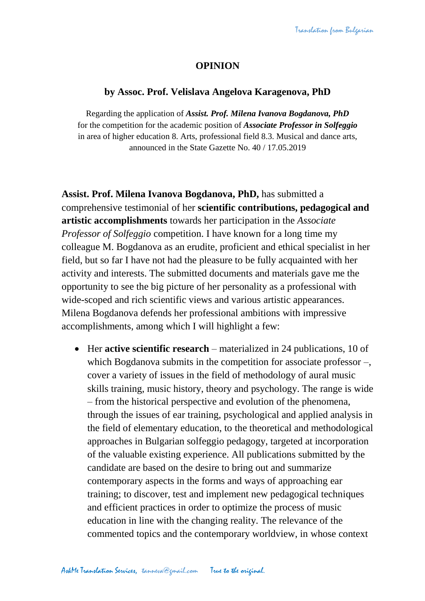## **OPINION**

## **by Assoc. Prof. Velislava Angelova Karagenova, PhD**

Regarding the application of *Assist. Prof. Milena Ivanova Bogdanova, PhD* for the competition for the academic position of *Associate Professor in Solfeggio* in area of higher education 8. Arts, professional field 8.3. Musical and dance arts, announced in the State Gazette No. 40 / 17.05.2019

**Assist. Prof. Milena Ivanova Bogdanova, PhD,** has submitted a comprehensive testimonial of her **scientific contributions, pedagogical and artistic accomplishments** towards her participation in the *Associate Professor of Solfeggio* competition. I have known for a long time my colleague M. Bogdanova as an erudite, proficient and ethical specialist in her field, but so far I have not had the pleasure to be fully acquainted with her activity and interests. The submitted documents and materials gave me the opportunity to see the big picture of her personality as a professional with wide-scoped and rich scientific views and various artistic appearances. Milena Bogdanova defends her professional ambitions with impressive accomplishments, among which I will highlight a few:

 Her **active scientific research** – materialized in 24 publications, 10 of which Bogdanova submits in the competition for associate professor –, cover a variety of issues in the field of methodology of aural music skills training, music history, theory and psychology. The range is wide – from the historical perspective and evolution of the phenomena, through the issues of ear training, psychological and applied analysis in the field of elementary education, to the theoretical and methodological approaches in Bulgarian solfeggio pedagogy, targeted at incorporation of the valuable existing experience. All publications submitted by the candidate are based on the desire to bring out and summarize contemporary aspects in the forms and ways of approaching ear training; to discover, test and implement new pedagogical techniques and efficient practices in order to optimize the process of music education in line with the changing reality. The relevance of the commented topics and the contemporary worldview, in whose context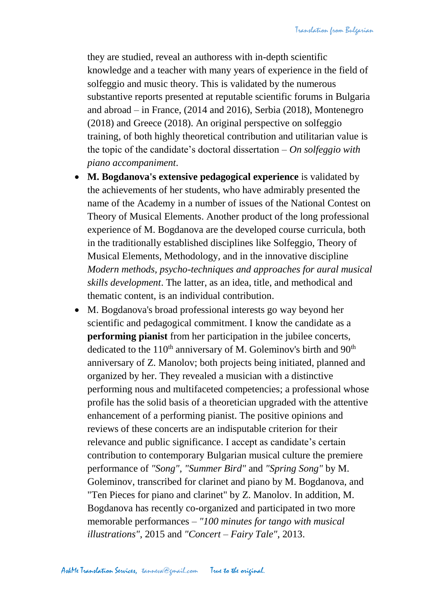they are studied, reveal an authoress with in-depth scientific knowledge and a teacher with many years of experience in the field of solfeggio and music theory. This is validated by the numerous substantive reports presented at reputable scientific forums in Bulgaria and abroad – in France, (2014 and 2016), Serbia (2018), Montenegro (2018) and Greece (2018). An original perspective on solfeggio training, of both highly theoretical contribution and utilitarian value is the topic of the candidate's doctoral dissertation – *On solfeggio with piano accompaniment*.

- **M. Bogdanova's extensive pedagogical experience** is validated by the achievements of her students, who have admirably presented the name of the Academy in a number of issues of the National Contest on Theory of Musical Elements. Another product of the long professional experience of M. Bogdanova are the developed course curricula, both in the traditionally established disciplines like Solfeggio, Theory of Musical Elements, Methodology, and in the innovative discipline *Modern methods, psycho-techniques and approaches for aural musical skills development*. The latter, as an idea, title, and methodical and thematic content, is an individual contribution.
- M. Bogdanova's broad professional interests go way beyond her scientific and pedagogical commitment. I know the candidate as a **performing pianist** from her participation in the jubilee concerts, dedicated to the  $110<sup>th</sup>$  anniversary of M. Goleminov's birth and  $90<sup>th</sup>$ anniversary of Z. Manolov; both projects being initiated, planned and organized by her. They revealed a musician with a distinctive performing nous and multifaceted competencies; a professional whose profile has the solid basis of a theoretician upgraded with the attentive enhancement of a performing pianist. The positive opinions and reviews of these concerts are an indisputable criterion for their relevance and public significance. I accept as candidate's certain contribution to contemporary Bulgarian musical culture the premiere performance of *"Song", "Summer Bird"* and *"Spring Song"* by M. Goleminov, transcribed for clarinet and piano by M. Bogdanova, and "Ten Pieces for piano and clarinet" by Z. Manolov. In addition, M. Bogdanova has recently co-organized and participated in two more memorable performances – *"100 minutes for tango with musical illustrations"*, 2015 and *"Concert – Fairy Tale"*, 2013.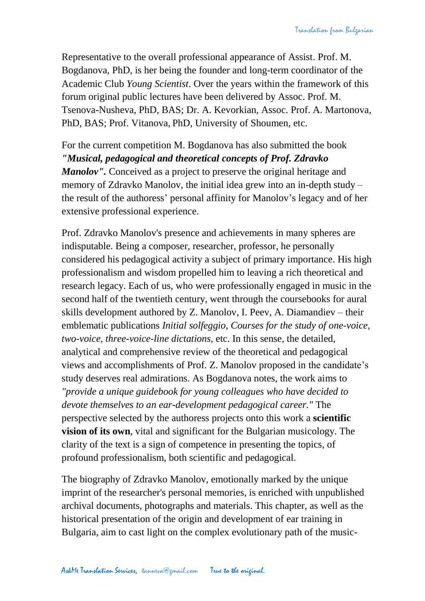Representative to the overall professional appearance of Assist. Prof. M. Bogdanova, PhD, is her being the founder and long-term coordinator of the Academic Club *Young Scientist*. Over the years within the framework of this forum original public lectures have been delivered by Assoc. Prof. M. Tsenova-Nusheva, PhD, BAS; Dr. A. Kevorkian, Assoc. Prof. A. Martonova, PhD, BAS; Prof. Vitanova, PhD, University of Shoumen, etc.

For the current competition M. Bogdanova has also submitted the book *"Musical, pedagogical and theoretical concepts of Prof. Zdravko Manolov''*. Conceived as a project to preserve the original heritage and memory of Zdravko Manolov, the initial idea grew into an in-depth study – the result of the authoress' personal affinity for Manolov's legacy and of her extensive professional experience.

Prof. Zdravko Manolov's presence and achievements in many spheres are indisputable. Being a composer, researcher, professor, he personally considered his pedagogical activity a subject of primary importance. His high professionalism and wisdom propelled him to leaving a rich theoretical and research legacy. Each of us, who were professionally engaged in music in the second half of the twentieth century, went through the coursebooks for aural skills development authored by Z. Manolov, I. Peev, A. Diamandiev – their emblematic publications *Initial solfeggio*, *Courses for the study of one-voice, two-voice, three-voice-line dictations*, etc. In this sense, the detailed, analytical and comprehensive review of the theoretical and pedagogical views and accomplishments of Prof. Z. Manolov proposed in the candidate's study deserves real admirations. As Bogdanova notes, the work aims to *"provide a unique guidebook for young colleagues who have decided to devote themselves to an ear-development pedagogical career."* The perspective selected by the authoress projects onto this work a **scientific vision of its own**, vital and significant for the Bulgarian musicology. The clarity of the text is a sign of competence in presenting the topics, of profound professionalism, both scientific and pedagogical.

The biography of Zdravko Manolov, emotionally marked by the unique imprint of the researcher's personal memories, is enriched with unpublished archival documents, photographs and materials. This chapter, as well as the historical presentation of the origin and development of ear training in Bulgaria, aim to cast light on the complex evolutionary path of the music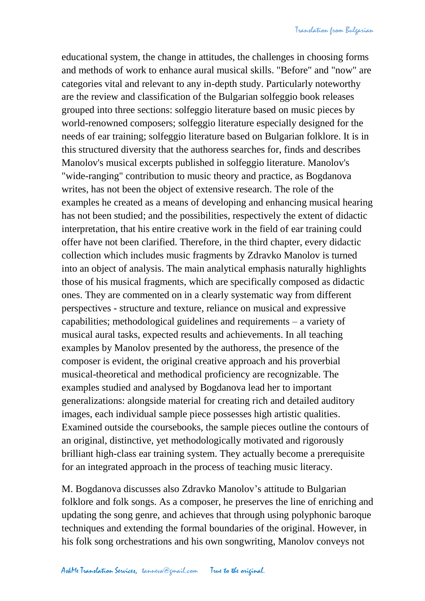educational system, the change in attitudes, the challenges in choosing forms and methods of work to enhance aural musical skills. "Before" and "now" are categories vital and relevant to any in-depth study. Particularly noteworthy are the review and classification of the Bulgarian solfeggio book releases grouped into three sections: solfeggio literature based on music pieces by world-renowned composers; solfeggio literature especially designed for the needs of ear training; solfeggio literature based on Bulgarian folklore. It is in this structured diversity that the authoress searches for, finds and describes Manolov's musical excerpts published in solfeggio literature. Manolov's

"wide-ranging" contribution to music theory and practice, as Bogdanova writes, has not been the object of extensive research. The role of the examples he created as a means of developing and enhancing musical hearing has not been studied; and the possibilities, respectively the extent of didactic interpretation, that his entire creative work in the field of ear training could offer have not been clarified. Therefore, in the third chapter, every didactic collection which includes music fragments by Zdravko Manolov is turned into an object of analysis. The main analytical emphasis naturally highlights those of his musical fragments, which are specifically composed as didactic ones. They are commented on in a clearly systematic way from different perspectives - structure and texture, reliance on musical and expressive capabilities; methodological guidelines and requirements – a variety of musical aural tasks, expected results and achievements. In all teaching examples by Manolov presented by the authoress, the presence of the composer is evident, the original creative approach and his proverbial musical-theoretical and methodical proficiency are recognizable. The examples studied and analysed by Bogdanova lead her to important generalizations: alongside material for creating rich and detailed auditory images, each individual sample piece possesses high artistic qualities. Examined outside the coursebooks, the sample pieces outline the contours of an original, distinctive, yet methodologically motivated and rigorously brilliant high-class ear training system. They actually become a prerequisite for an integrated approach in the process of teaching music literacy.

M. Bogdanova discusses also Zdravko Manolov's attitude to Bulgarian folklore and folk songs. As a composer, he preserves the line of enriching and updating the song genre, and achieves that through using polyphonic baroque techniques and extending the formal boundaries of the original. However, in his folk song orchestrations and his own songwriting, Manolov conveys not